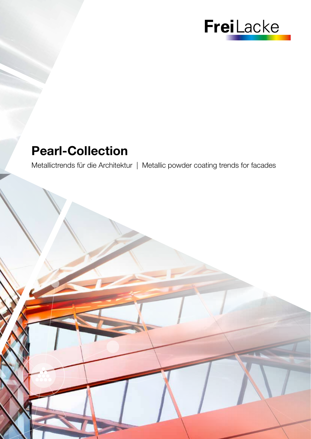

## Pearl-Collection

Metallictrends für die Architektur | Metallic powder coating trends for facades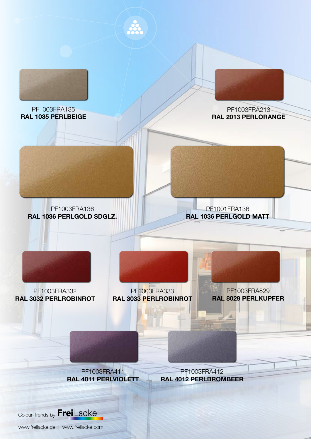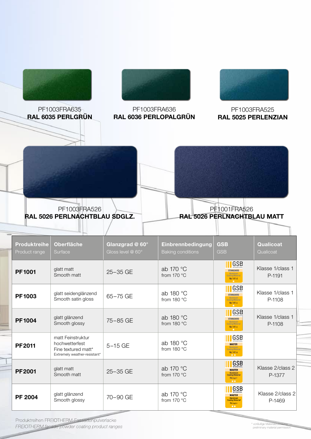

Produktreihen FREIOTHERM-Fassadenpulverlacke FREIOTHERM facade powder coating product ranges

\* vorläufige Materialzulassung preliminary material permission